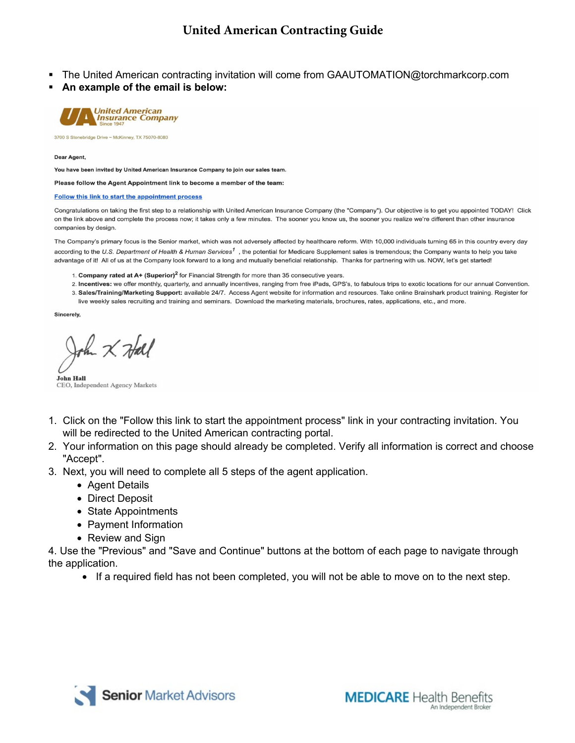- The United American contracting invitation will come from GAAUTOMATION@torchmarkcorp.com
- **An example of the email is below:**



3700 S Stonebridge Drive ~ McKinney, TX 75070-8080

Dear Agent,

You have been invited by United American Insurance Company to join our sales team.

Please follow the Agent Appointment link to become a member of the team:

#### Follow this link to start the appointment process

Congratulations on taking the first step to a relationship with United American Insurance Company (the "Company"). Our objective is to get you appointed TODAY! Click on the link above and complete the process now; it takes only a few minutes. The sooner you know us, the sooner you realize we're different than other insurance companies by design.

The Company's primary focus is the Senior market, which was not adversely affected by healthcare reform. With 10,000 individuals turning 65 in this country every day according to the U.S. Department of Health & Human Services<sup>1</sup>, the potential for Medicare Supplement sales is tremendous; the Company wants to help you take advantage of it! All of us at the Company look forward to a long and mutually beneficial relationship. Thanks for partnering with us. NOW, let's get started!

- 1. Company rated at A+ (Superior)<sup>2</sup> for Financial Strength for more than 35 consecutive years.
- 2. Incentives: we offer monthly, quarterly, and annually incentives, ranging from free iPads, GPS's, to fabulous trips to exotic locations for our annual Convention. 3. Sales/Training/Marketing Support: available 24/7. Access Agent website for information and resources. Take online Brainshark product training. Register for
- live weekly sales recruiting and training and seminars. Download the marketing materials, brochures, rates, applications, etc., and more.

Sincerely,

the X Hall

**John Hall** CEO, Independent Agency Markets

- 1. Click on the "Follow this link to start the appointment process" link in your contracting invitation. You will be redirected to the United American contracting portal.
- 2. Your information on this page should already be completed. Verify all information is correct and choose "Accept".
- 3. Next, you will need to complete all 5 steps of the agent application.
	- Agent Details
	- Direct Deposit
	- State Appointments
	- Payment Information
	- Review and Sign

4. Use the "Previous" and "Save and Continue" buttons at the bottom of each page to navigate through the application.

• If a required field has not been completed, you will not be able to move on to the next step.

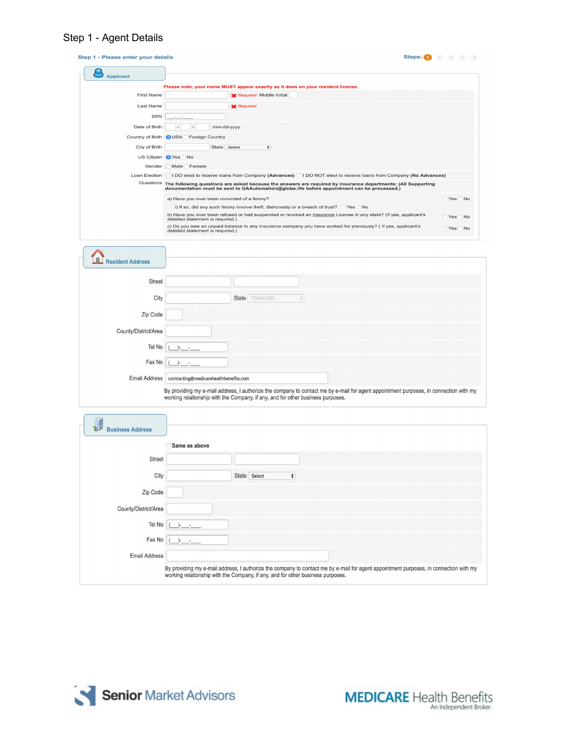# Step 1 - Agent Details

| <b>Applicant</b>        |                                                                                                                                                                                                                          |                              |
|-------------------------|--------------------------------------------------------------------------------------------------------------------------------------------------------------------------------------------------------------------------|------------------------------|
|                         |                                                                                                                                                                                                                          |                              |
| <b>First Name</b>       | Please note, your name MUST appear exactly as it does on your resident license.<br>Required Middle Initial                                                                                                               |                              |
|                         |                                                                                                                                                                                                                          |                              |
| Last Name               | <b>Required</b>                                                                                                                                                                                                          |                              |
| SSN                     |                                                                                                                                                                                                                          |                              |
| Date of Birth           | mm-dd-yyyy                                                                                                                                                                                                               |                              |
| Country of Birth        | <b>OUSA</b> Foreign Country                                                                                                                                                                                              |                              |
| City of Birth           | State Select<br>$\div$                                                                                                                                                                                                   |                              |
|                         | US Citizen Yes No                                                                                                                                                                                                        |                              |
| Gender                  | Male Female                                                                                                                                                                                                              |                              |
| Loan Election           | 1 DO elect to receive loans from Company (Advances) (1 DO NOT elect to receive loans from Company (No Advances)                                                                                                          |                              |
|                         | Questions The following questions are asked because the answers are required by insurance departments: (All Supporting<br>documentation must be sent to GAAutomation@globe.life before appointment can be processed.)    |                              |
|                         | a) Have you ever been convicted of a felony?                                                                                                                                                                             | $\bigcirc$ Yes $\bigcirc$ No |
|                         | i) If so, did any such felony involve theft, dishonesty or a breach of trust? CYes CNo                                                                                                                                   |                              |
|                         | b) Have you ever been refused or had suspended or revoked an insurance License in any state? (If yes, applicant's                                                                                                        | $\bigcirc$ Yes $\bigcirc$ No |
|                         | detailed statement is required.)<br>c) Do you owe an unpaid balance to any insurance company you have worked for previously? ( If yes, applicant's                                                                       |                              |
|                         | detailed statement is required.)                                                                                                                                                                                         | $\bigcirc$ Yes $\bigcirc$ No |
|                         |                                                                                                                                                                                                                          |                              |
|                         |                                                                                                                                                                                                                          |                              |
| <b>Resident Address</b> |                                                                                                                                                                                                                          |                              |
|                         |                                                                                                                                                                                                                          |                              |
| <b>Street</b>           |                                                                                                                                                                                                                          |                              |
|                         |                                                                                                                                                                                                                          |                              |
| City                    | State   TENNESSEE<br>÷                                                                                                                                                                                                   |                              |
|                         |                                                                                                                                                                                                                          |                              |
| Zip Code                |                                                                                                                                                                                                                          |                              |
| County/District/Area    |                                                                                                                                                                                                                          |                              |
|                         |                                                                                                                                                                                                                          |                              |
| Tel No                  |                                                                                                                                                                                                                          |                              |
|                         |                                                                                                                                                                                                                          |                              |
| Fax No                  |                                                                                                                                                                                                                          |                              |
| <b>Email Address</b>    | contracting@medicarehealthbenefits.com                                                                                                                                                                                   |                              |
|                         |                                                                                                                                                                                                                          |                              |
|                         | By providing my e-mail address, I authorize the company to contact me by e-mail for agent appointment purposes, in connection with my<br>working relationship with the Company, if any, and for other business purposes. |                              |
|                         |                                                                                                                                                                                                                          |                              |
|                         |                                                                                                                                                                                                                          |                              |
|                         |                                                                                                                                                                                                                          |                              |
|                         |                                                                                                                                                                                                                          |                              |
| <b>Business Address</b> |                                                                                                                                                                                                                          |                              |
|                         |                                                                                                                                                                                                                          |                              |
|                         | Same as above                                                                                                                                                                                                            |                              |
| <b>Street</b>           |                                                                                                                                                                                                                          |                              |
|                         |                                                                                                                                                                                                                          |                              |
| City                    | State Select<br>÷,                                                                                                                                                                                                       |                              |
|                         |                                                                                                                                                                                                                          |                              |
| Zip Code                |                                                                                                                                                                                                                          |                              |
|                         |                                                                                                                                                                                                                          |                              |
| County/District/Area    |                                                                                                                                                                                                                          |                              |
| Tel No                  |                                                                                                                                                                                                                          |                              |
|                         |                                                                                                                                                                                                                          |                              |
| Fax No                  |                                                                                                                                                                                                                          |                              |
| <b>Email Address</b>    |                                                                                                                                                                                                                          |                              |

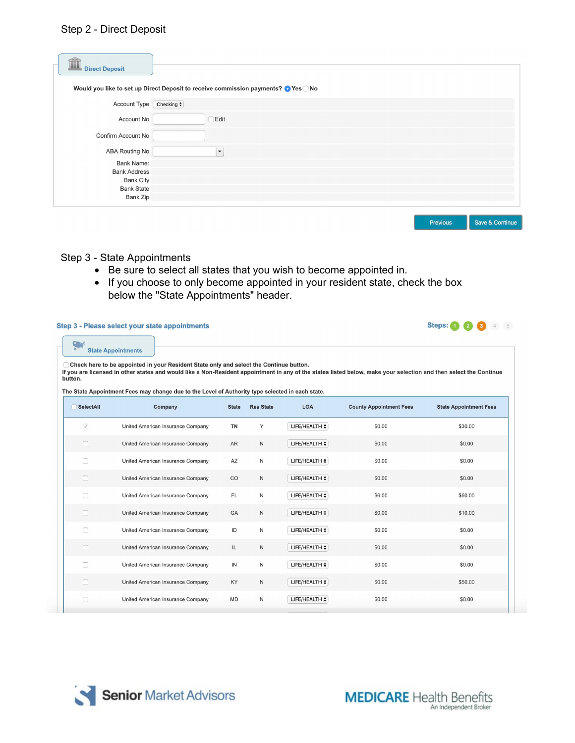## Step 2 - Direct Deposit

| íì<br><b>Direct Deposit</b> | Would you like to set up Direct Deposit to receive commission payments? O Yes ONo |
|-----------------------------|-----------------------------------------------------------------------------------|
|                             |                                                                                   |
| Account Type                | Checking $\div$                                                                   |
| Account No                  | <b>Edit</b>                                                                       |
| Confirm Account No          |                                                                                   |
| <b>ABA Routing No</b>       | ٠                                                                                 |
| <b>Bank Name:</b>           |                                                                                   |
| <b>Bank Address</b>         |                                                                                   |
| <b>Bank City</b>            |                                                                                   |
| <b>Bank State</b>           |                                                                                   |
| Bank Zip                    |                                                                                   |
|                             |                                                                                   |

Previous

Save & Continue

### Step 3 - State Appointments

- Be sure to select all states that you wish to become appointed in.
- If you choose to only become appointed in your resident state, check the box below the "State Appointments" header.

#### Step 3 - Please select your state appointments



| button.           |                                                                                                             |              |                  |                    |                                | If you are licensed in other states and would like a Non-Resident appointment in any of the states listed below, make your selection and then select the Continue |
|-------------------|-------------------------------------------------------------------------------------------------------------|--------------|------------------|--------------------|--------------------------------|-------------------------------------------------------------------------------------------------------------------------------------------------------------------|
| SelectAll         | The State Appointment Fees may change due to the Level of Authority type selected in each state.<br>Company | <b>State</b> | <b>Res State</b> | LOA                | <b>County Appointment Fees</b> | <b>State Appointment Fees</b>                                                                                                                                     |
| $\overline{\vee}$ | United American Insurance Company                                                                           | <b>TN</b>    | Y                | LIFE/HEALTH $\div$ | \$0.00                         | \$30.00                                                                                                                                                           |
| $\Box$            | United American Insurance Company                                                                           | <b>AR</b>    | $\mathsf N$      | LIFE/HEALTH $\div$ | \$0.00                         | \$0.00                                                                                                                                                            |
| □                 | United American Insurance Company                                                                           | AZ           | N                | LIFE/HEALTH $\div$ | \$0.00                         | \$0.00                                                                                                                                                            |
| $\Box$            | United American Insurance Company                                                                           | $_{\rm CO}$  | $\mathsf{N}$     | LIFE/HEALTH $\div$ | \$0.00                         | \$0.00                                                                                                                                                            |
| $\Box$            | United American Insurance Company                                                                           | FL.          | N                | LIFE/HEALTH $\div$ | \$6.00                         | \$60.00                                                                                                                                                           |
| $\Box$            | United American Insurance Company                                                                           | GA           | N                | LIFE/HEALTH $\div$ | \$0.00                         | \$10.00                                                                                                                                                           |
| $\Box$            | United American Insurance Company                                                                           | ID           | N                | LIFE/HEALTH $\div$ | \$0.00                         | \$0.00                                                                                                                                                            |
| $\Box$            | United American Insurance Company                                                                           | IL.          | $\mathsf N$      | LIFE/HEALTH $\div$ | \$0.00                         | \$0.00                                                                                                                                                            |
| n                 | United American Insurance Company                                                                           | IN           | N                | LIFE/HEALTH $\div$ | \$0.00                         | \$0.00                                                                                                                                                            |
| $\Box$            | United American Insurance Company                                                                           | KY           | N                | LIFE/HEALTH $\div$ | \$0.00                         | \$50.00                                                                                                                                                           |